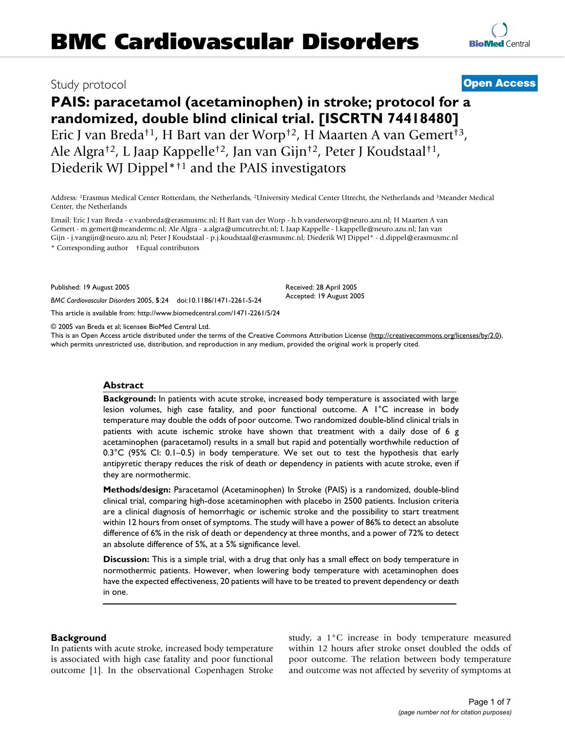# Study protocol **[Open Access](http://www.biomedcentral.com/info/about/charter/)**

# **PAIS: paracetamol (acetaminophen) in stroke; protocol for a randomized, double blind clinical trial. [ISCRTN 74418480]** Eric J van Breda†1, H Bart van der Worp†2, H Maarten A van Gemert†3, Ale Algra†2, L Jaap Kappelle†2, Jan van Gijn†2, Peter J Koudstaal†1, Diederik WJ Dippel\*†1 and the PAIS investigators

Address: 1Erasmus Medical Center Rotterdam, the Netherlands, 2University Medical Center Utrecht, the Netherlands and 3Meander Medical Center, the Netherlands

Email: Eric J van Breda - e.vanbreda@erasmusmc.nl; H Bart van der Worp - h.b.vanderworp@neuro.azu.nl; H Maarten A van Gemert - m.gemert@meandermc.nl; Ale Algra - a.algra@umcutrecht.nl; L Jaap Kappelle - l.kappelle@neuro.azu.nl; Jan van Gijn - j.vangijn@neuro.azu.nl; Peter J Koudstaal - p.j.koudstaal@erasmusmc.nl; Diederik WJ Dippel\* - d.dippel@erasmusmc.nl \* Corresponding author †Equal contributors

Published: 19 August 2005

*BMC Cardiovascular Disorders* 2005, **5**:24 doi:10.1186/1471-2261-5-24

[This article is available from: http://www.biomedcentral.com/1471-2261/5/24](http://www.biomedcentral.com/1471-2261/5/24)

© 2005 van Breda et al; licensee BioMed Central Ltd.

This is an Open Access article distributed under the terms of the Creative Commons Attribution License [\(http://creativecommons.org/licenses/by/2.0\)](http://creativecommons.org/licenses/by/2.0), which permits unrestricted use, distribution, and reproduction in any medium, provided the original work is properly cited.

Received: 28 April 2005 Accepted: 19 August 2005

# **Abstract**

**Background:** In patients with acute stroke, increased body temperature is associated with large lesion volumes, high case fatality, and poor functional outcome. A 1°C increase in body temperature may double the odds of poor outcome. Two randomized double-blind clinical trials in patients with acute ischemic stroke have shown that treatment with a daily dose of 6 g acetaminophen (paracetamol) results in a small but rapid and potentially worthwhile reduction of  $0.3^{\circ}$ C (95% CI: 0.1–0.5) in body temperature. We set out to test the hypothesis that early antipyretic therapy reduces the risk of death or dependency in patients with acute stroke, even if they are normothermic.

**Methods/design:** Paracetamol (Acetaminophen) In Stroke (PAIS) is a randomized, double-blind clinical trial, comparing high-dose acetaminophen with placebo in 2500 patients. Inclusion criteria are a clinical diagnosis of hemorrhagic or ischemic stroke and the possibility to start treatment within 12 hours from onset of symptoms. The study will have a power of 86% to detect an absolute difference of 6% in the risk of death or dependency at three months, and a power of 72% to detect an absolute difference of 5%, at a 5% significance level.

**Discussion:** This is a simple trial, with a drug that only has a small effect on body temperature in normothermic patients. However, when lowering body temperature with acetaminophen does have the expected effectiveness, 20 patients will have to be treated to prevent dependency or death in one.

# **Background**

In patients with acute stroke, increased body temperature is associated with high case fatality and poor functional outcome [1]. In the observational Copenhagen Stroke study, a 1°C increase in body temperature measured within 12 hours after stroke onset doubled the odds of poor outcome. The relation between body temperature and outcome was not affected by severity of symptoms at

**[BioMed](http://www.biomedcentral.com/)** Central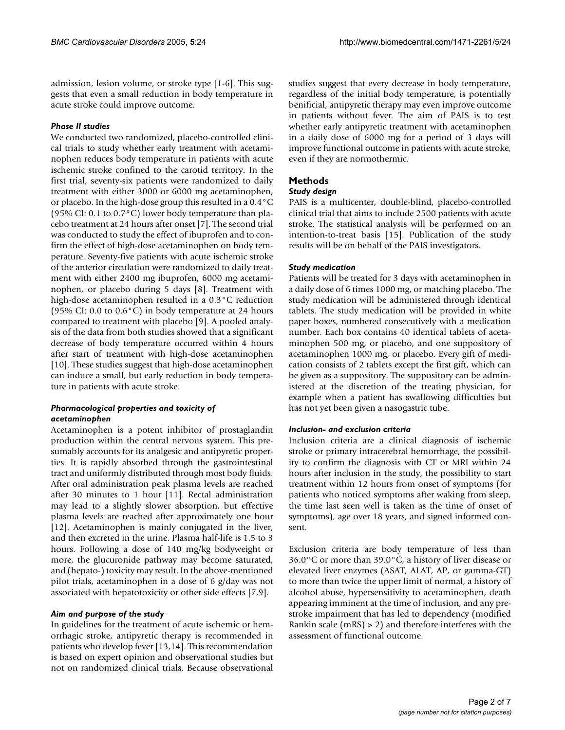admission, lesion volume, or stroke type [1-6]. This suggests that even a small reduction in body temperature in acute stroke could improve outcome.

# *Phase II studies*

We conducted two randomized, placebo-controlled clinical trials to study whether early treatment with acetaminophen reduces body temperature in patients with acute ischemic stroke confined to the carotid territory. In the first trial, seventy-six patients were randomized to daily treatment with either 3000 or 6000 mg acetaminophen, or placebo. In the high-dose group this resulted in a 0.4°C (95% CI: 0.1 to 0.7°C) lower body temperature than placebo treatment at 24 hours after onset [7]. The second trial was conducted to study the effect of ibuprofen and to confirm the effect of high-dose acetaminophen on body temperature. Seventy-five patients with acute ischemic stroke of the anterior circulation were randomized to daily treatment with either 2400 mg ibuprofen, 6000 mg acetaminophen, or placebo during 5 days [8]. Treatment with high-dose acetaminophen resulted in a 0.3°C reduction (95% CI: 0.0 to 0.6°C) in body temperature at 24 hours compared to treatment with placebo [9]. A pooled analysis of the data from both studies showed that a significant decrease of body temperature occurred within 4 hours after start of treatment with high-dose acetaminophen [10]. These studies suggest that high-dose acetaminophen can induce a small, but early reduction in body temperature in patients with acute stroke.

# *Pharmacological properties and toxicity of acetaminophen*

Acetaminophen is a potent inhibitor of prostaglandin production within the central nervous system. This presumably accounts for its analgesic and antipyretic properties. It is rapidly absorbed through the gastrointestinal tract and uniformly distributed through most body fluids. After oral administration peak plasma levels are reached after 30 minutes to 1 hour [11]. Rectal administration may lead to a slightly slower absorption, but effective plasma levels are reached after approximately one hour [12]. Acetaminophen is mainly conjugated in the liver, and then excreted in the urine. Plasma half-life is 1.5 to 3 hours. Following a dose of 140 mg/kg bodyweight or more, the glucuronide pathway may become saturated, and (hepato-) toxicity may result. In the above-mentioned pilot trials, acetaminophen in a dose of 6 g/day was not associated with hepatotoxicity or other side effects [7,9].

#### *Aim and purpose of the study*

In guidelines for the treatment of acute ischemic or hemorrhagic stroke, antipyretic therapy is recommended in patients who develop fever [13,14]. This recommendation is based on expert opinion and observational studies but not on randomized clinical trials. Because observational

studies suggest that every decrease in body temperature, regardless of the initial body temperature, is potentially benificial, antipyretic therapy may even improve outcome in patients without fever. The aim of PAIS is to test whether early antipyretic treatment with acetaminophen in a daily dose of 6000 mg for a period of 3 days will improve functional outcome in patients with acute stroke, even if they are normothermic.

# **Methods**

# *Study design*

PAIS is a multicenter, double-blind, placebo-controlled clinical trial that aims to include 2500 patients with acute stroke. The statistical analysis will be performed on an intention-to-treat basis [15]. Publication of the study results will be on behalf of the PAIS investigators.

# *Study medication*

Patients will be treated for 3 days with acetaminophen in a daily dose of 6 times 1000 mg, or matching placebo. The study medication will be administered through identical tablets. The study medication will be provided in white paper boxes, numbered consecutively with a medication number. Each box contains 40 identical tablets of acetaminophen 500 mg, or placebo, and one suppository of acetaminophen 1000 mg, or placebo. Every gift of medication consists of 2 tablets except the first gift, which can be given as a suppository. The suppository can be administered at the discretion of the treating physician, for example when a patient has swallowing difficulties but has not yet been given a nasogastric tube.

#### *Inclusion- and exclusion criteria*

Inclusion criteria are a clinical diagnosis of ischemic stroke or primary intracerebral hemorrhage, the possibility to confirm the diagnosis with CT or MRI within 24 hours after inclusion in the study, the possibility to start treatment within 12 hours from onset of symptoms (for patients who noticed symptoms after waking from sleep, the time last seen well is taken as the time of onset of symptoms), age over 18 years, and signed informed consent.

Exclusion criteria are body temperature of less than 36.0°C or more than 39.0°C, a history of liver disease or elevated liver enzymes (ASAT, ALAT, AP, or gamma-GT) to more than twice the upper limit of normal, a history of alcohol abuse, hypersensitivity to acetaminophen, death appearing imminent at the time of inclusion, and any prestroke impairment that has led to dependency (modified Rankin scale (mRS) > 2) and therefore interferes with the assessment of functional outcome.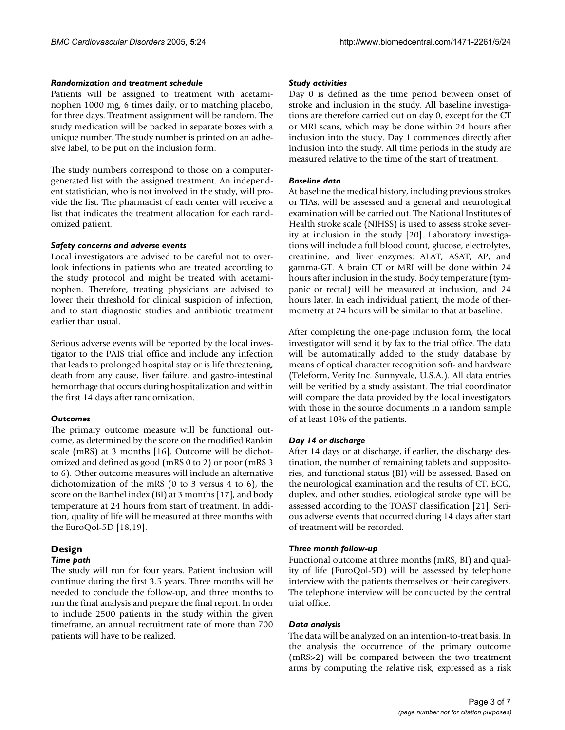# *Randomization and treatment schedule*

Patients will be assigned to treatment with acetaminophen 1000 mg, 6 times daily, or to matching placebo, for three days. Treatment assignment will be random. The study medication will be packed in separate boxes with a unique number. The study number is printed on an adhesive label, to be put on the inclusion form.

The study numbers correspond to those on a computergenerated list with the assigned treatment. An independent statistician, who is not involved in the study, will provide the list. The pharmacist of each center will receive a list that indicates the treatment allocation for each randomized patient.

#### *Safety concerns and adverse events*

Local investigators are advised to be careful not to overlook infections in patients who are treated according to the study protocol and might be treated with acetaminophen. Therefore, treating physicians are advised to lower their threshold for clinical suspicion of infection, and to start diagnostic studies and antibiotic treatment earlier than usual.

Serious adverse events will be reported by the local investigator to the PAIS trial office and include any infection that leads to prolonged hospital stay or is life threatening, death from any cause, liver failure, and gastro-intestinal hemorrhage that occurs during hospitalization and within the first 14 days after randomization.

#### *Outcomes*

The primary outcome measure will be functional outcome, as determined by the score on the modified Rankin scale (mRS) at 3 months [16]. Outcome will be dichotomized and defined as good (mRS 0 to 2) or poor (mRS 3 to 6). Other outcome measures will include an alternative dichotomization of the mRS (0 to 3 versus 4 to 6), the score on the Barthel index (BI) at 3 months [17], and body temperature at 24 hours from start of treatment. In addition, quality of life will be measured at three months with the EuroQol-5D [18,19].

# **Design**

# *Time path*

The study will run for four years. Patient inclusion will continue during the first 3.5 years. Three months will be needed to conclude the follow-up, and three months to run the final analysis and prepare the final report. In order to include 2500 patients in the study within the given timeframe, an annual recruitment rate of more than 700 patients will have to be realized.

#### *Study activities*

Day 0 is defined as the time period between onset of stroke and inclusion in the study. All baseline investigations are therefore carried out on day 0, except for the CT or MRI scans, which may be done within 24 hours after inclusion into the study. Day 1 commences directly after inclusion into the study. All time periods in the study are measured relative to the time of the start of treatment.

#### *Baseline data*

At baseline the medical history, including previous strokes or TIAs, will be assessed and a general and neurological examination will be carried out. The National Institutes of Health stroke scale (NIHSS) is used to assess stroke severity at inclusion in the study [20]. Laboratory investigations will include a full blood count, glucose, electrolytes, creatinine, and liver enzymes: ALAT, ASAT, AP, and gamma-GT. A brain CT or MRI will be done within 24 hours after inclusion in the study. Body temperature (tympanic or rectal) will be measured at inclusion, and 24 hours later. In each individual patient, the mode of thermometry at 24 hours will be similar to that at baseline.

After completing the one-page inclusion form, the local investigator will send it by fax to the trial office. The data will be automatically added to the study database by means of optical character recognition soft- and hardware (Teleform, Verity Inc. Sunnyvale, U.S.A.). All data entries will be verified by a study assistant. The trial coordinator will compare the data provided by the local investigators with those in the source documents in a random sample of at least 10% of the patients.

# *Day 14 or discharge*

After 14 days or at discharge, if earlier, the discharge destination, the number of remaining tablets and suppositories, and functional status (BI) will be assessed. Based on the neurological examination and the results of CT, ECG, duplex, and other studies, etiological stroke type will be assessed according to the TOAST classification [21]. Serious adverse events that occurred during 14 days after start of treatment will be recorded.

#### *Three month follow-up*

Functional outcome at three months (mRS, BI) and quality of life (EuroQol-5D) will be assessed by telephone interview with the patients themselves or their caregivers. The telephone interview will be conducted by the central trial office.

#### *Data analysis*

The data will be analyzed on an intention-to-treat basis. In the analysis the occurrence of the primary outcome (mRS>2) will be compared between the two treatment arms by computing the relative risk, expressed as a risk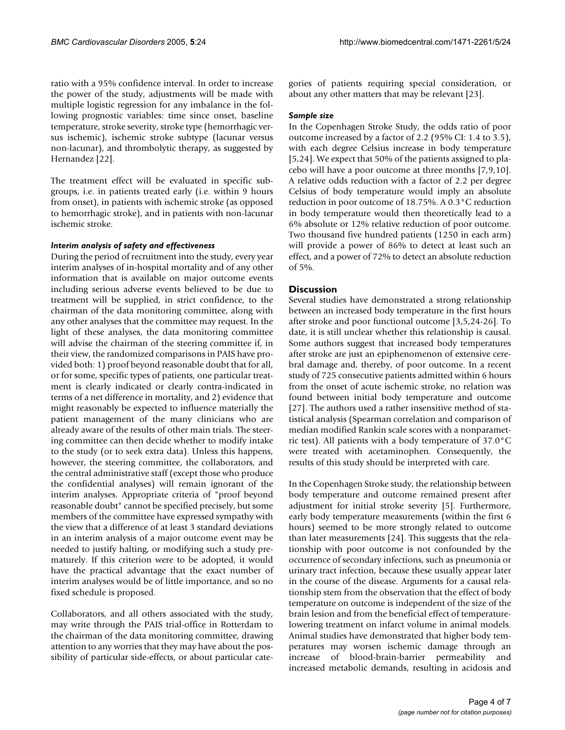ratio with a 95% confidence interval. In order to increase the power of the study, adjustments will be made with multiple logistic regression for any imbalance in the following prognostic variables: time since onset, baseline temperature, stroke severity, stroke type (hemorrhagic versus ischemic), ischemic stroke subtype (lacunar versus non-lacunar), and thrombolytic therapy, as suggested by Hernandez [22].

The treatment effect will be evaluated in specific subgroups, i.e. in patients treated early (i.e. within 9 hours from onset), in patients with ischemic stroke (as opposed to hemorrhagic stroke), and in patients with non-lacunar ischemic stroke.

#### *Interim analysis of safety and effectiveness*

During the period of recruitment into the study, every year interim analyses of in-hospital mortality and of any other information that is available on major outcome events including serious adverse events believed to be due to treatment will be supplied, in strict confidence, to the chairman of the data monitoring committee, along with any other analyses that the committee may request. In the light of these analyses, the data monitoring committee will advise the chairman of the steering committee if, in their view, the randomized comparisons in PAIS have provided both: 1) proof beyond reasonable doubt that for all, or for some, specific types of patients, one particular treatment is clearly indicated or clearly contra-indicated in terms of a net difference in mortality, and 2) evidence that might reasonably be expected to influence materially the patient management of the many clinicians who are already aware of the results of other main trials. The steering committee can then decide whether to modify intake to the study (or to seek extra data). Unless this happens, however, the steering committee, the collaborators, and the central administrative staff (except those who produce the confidential analyses) will remain ignorant of the interim analyses. Appropriate criteria of "proof beyond reasonable doubt" cannot be specified precisely, but some members of the committee have expressed sympathy with the view that a difference of at least 3 standard deviations in an interim analysis of a major outcome event may be needed to justify halting, or modifying such a study prematurely. If this criterion were to be adopted, it would have the practical advantage that the exact number of interim analyses would be of little importance, and so no fixed schedule is proposed.

Collaborators, and all others associated with the study, may write through the PAIS trial-office in Rotterdam to the chairman of the data monitoring committee, drawing attention to any worries that they may have about the possibility of particular side-effects, or about particular categories of patients requiring special consideration, or about any other matters that may be relevant [23].

#### *Sample size*

In the Copenhagen Stroke Study, the odds ratio of poor outcome increased by a factor of 2.2 (95% CI: 1.4 to 3.5), with each degree Celsius increase in body temperature [5,24]. We expect that 50% of the patients assigned to placebo will have a poor outcome at three months [7,9,10]. A relative odds reduction with a factor of 2.2 per degree Celsius of body temperature would imply an absolute reduction in poor outcome of 18.75%. A 0.3°C reduction in body temperature would then theoretically lead to a 6% absolute or 12% relative reduction of poor outcome. Two thousand five hundred patients (1250 in each arm) will provide a power of 86% to detect at least such an effect, and a power of 72% to detect an absolute reduction of 5%.

# **Discussion**

Several studies have demonstrated a strong relationship between an increased body temperature in the first hours after stroke and poor functional outcome [3,5,24-26]. To date, it is still unclear whether this relationship is causal. Some authors suggest that increased body temperatures after stroke are just an epiphenomenon of extensive cerebral damage and, thereby, of poor outcome. In a recent study of 725 consecutive patients admitted within 6 hours from the onset of acute ischemic stroke, no relation was found between initial body temperature and outcome [27]. The authors used a rather insensitive method of statistical analysis (Spearman correlation and comparison of median modified Rankin scale scores with a nonparametric test). All patients with a body temperature of 37.0°C were treated with acetaminophen. Consequently, the results of this study should be interpreted with care.

In the Copenhagen Stroke study, the relationship between body temperature and outcome remained present after adjustment for initial stroke severity [5]. Furthermore, early body temperature measurements (within the first 6 hours) seemed to be more strongly related to outcome than later measurements [24]. This suggests that the relationship with poor outcome is not confounded by the occurrence of secondary infections, such as pneumonia or urinary tract infection, because these usually appear later in the course of the disease. Arguments for a causal relationship stem from the observation that the effect of body temperature on outcome is independent of the size of the brain lesion and from the beneficial effect of temperaturelowering treatment on infarct volume in animal models. Animal studies have demonstrated that higher body temperatures may worsen ischemic damage through an increase of blood-brain-barrier permeability and increased metabolic demands, resulting in acidosis and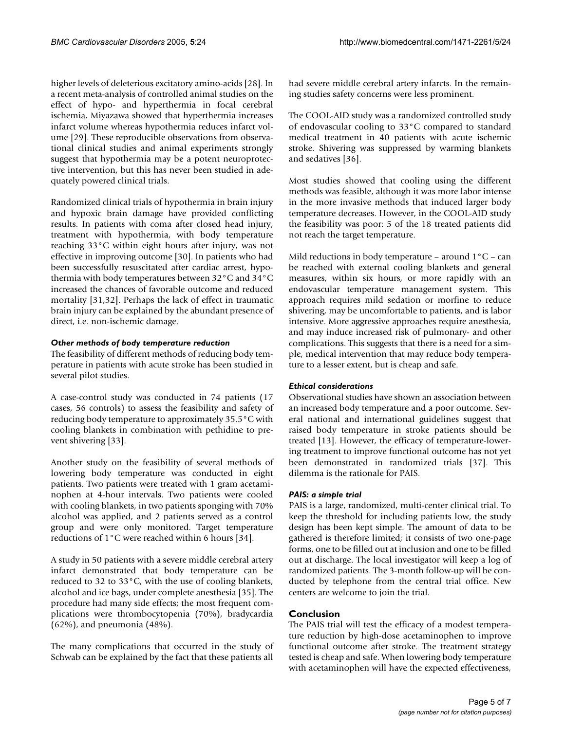higher levels of deleterious excitatory amino-acids [28]. In a recent meta-analysis of controlled animal studies on the effect of hypo- and hyperthermia in focal cerebral ischemia, Miyazawa showed that hyperthermia increases infarct volume whereas hypothermia reduces infarct volume [29]. These reproducible observations from observational clinical studies and animal experiments strongly suggest that hypothermia may be a potent neuroprotective intervention, but this has never been studied in adequately powered clinical trials.

Randomized clinical trials of hypothermia in brain injury and hypoxic brain damage have provided conflicting results. In patients with coma after closed head injury, treatment with hypothermia, with body temperature reaching 33°C within eight hours after injury, was not effective in improving outcome [30]. In patients who had been successfully resuscitated after cardiac arrest, hypothermia with body temperatures between 32°C and 34°C increased the chances of favorable outcome and reduced mortality [31,32]. Perhaps the lack of effect in traumatic brain injury can be explained by the abundant presence of direct, i.e. non-ischemic damage.

# *Other methods of body temperature reduction*

The feasibility of different methods of reducing body temperature in patients with acute stroke has been studied in several pilot studies.

A case-control study was conducted in 74 patients (17 cases, 56 controls) to assess the feasibility and safety of reducing body temperature to approximately 35.5°C with cooling blankets in combination with pethidine to prevent shivering [33].

Another study on the feasibility of several methods of lowering body temperature was conducted in eight patients. Two patients were treated with 1 gram acetaminophen at 4-hour intervals. Two patients were cooled with cooling blankets, in two patients sponging with 70% alcohol was applied, and 2 patients served as a control group and were only monitored. Target temperature reductions of 1°C were reached within 6 hours [34].

A study in 50 patients with a severe middle cerebral artery infarct demonstrated that body temperature can be reduced to 32 to 33°C, with the use of cooling blankets, alcohol and ice bags, under complete anesthesia [35]. The procedure had many side effects; the most frequent complications were thrombocytopenia (70%), bradycardia (62%), and pneumonia (48%).

The many complications that occurred in the study of Schwab can be explained by the fact that these patients all had severe middle cerebral artery infarcts. In the remaining studies safety concerns were less prominent.

The COOL-AID study was a randomized controlled study of endovascular cooling to 33°C compared to standard medical treatment in 40 patients with acute ischemic stroke. Shivering was suppressed by warming blankets and sedatives [36].

Most studies showed that cooling using the different methods was feasible, although it was more labor intense in the more invasive methods that induced larger body temperature decreases. However, in the COOL-AID study the feasibility was poor: 5 of the 18 treated patients did not reach the target temperature.

Mild reductions in body temperature – around  $1^{\circ}C$  – can be reached with external cooling blankets and general measures, within six hours, or more rapidly with an endovascular temperature management system. This approach requires mild sedation or morfine to reduce shivering, may be uncomfortable to patients, and is labor intensive. More aggressive approaches require anesthesia, and may induce increased risk of pulmonary- and other complications. This suggests that there is a need for a simple, medical intervention that may reduce body temperature to a lesser extent, but is cheap and safe.

# *Ethical considerations*

Observational studies have shown an association between an increased body temperature and a poor outcome. Several national and international guidelines suggest that raised body temperature in stroke patients should be treated [13]. However, the efficacy of temperature-lowering treatment to improve functional outcome has not yet been demonstrated in randomized trials [37]. This dilemma is the rationale for PAIS.

# *PAIS: a simple trial*

PAIS is a large, randomized, multi-center clinical trial. To keep the threshold for including patients low, the study design has been kept simple. The amount of data to be gathered is therefore limited; it consists of two one-page forms, one to be filled out at inclusion and one to be filled out at discharge. The local investigator will keep a log of randomized patients. The 3-month follow-up will be conducted by telephone from the central trial office. New centers are welcome to join the trial.

# **Conclusion**

The PAIS trial will test the efficacy of a modest temperature reduction by high-dose acetaminophen to improve functional outcome after stroke. The treatment strategy tested is cheap and safe. When lowering body temperature with acetaminophen will have the expected effectiveness,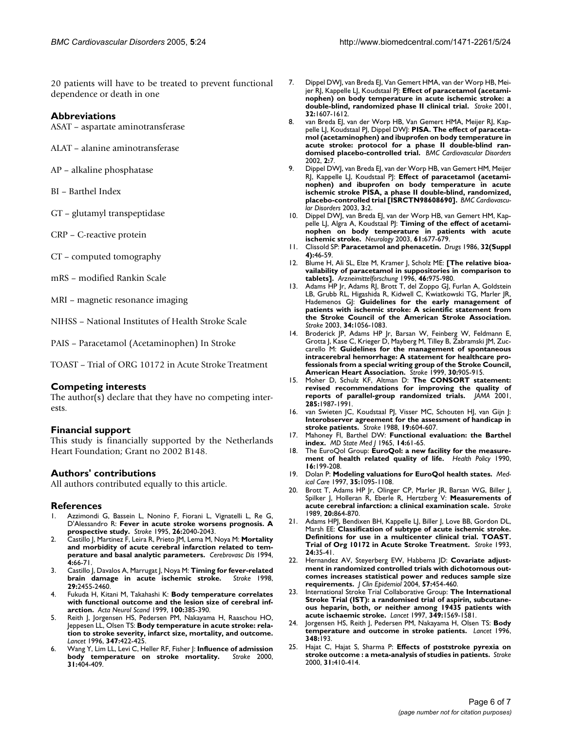20 patients will have to be treated to prevent functional dependence or death in one

# **Abbreviations**

ASAT – aspartate aminotransferase

- ALAT alanine aminotransferase
- AP alkaline phosphatase
- BI Barthel Index
- GT glutamyl transpeptidase
- CRP C-reactive protein
- CT computed tomography
- mRS modified Rankin Scale
- MRI magnetic resonance imaging

NIHSS – National Institutes of Health Stroke Scale

PAIS – Paracetamol (Acetaminophen) In Stroke

TOAST – Trial of ORG 10172 in Acute Stroke Treatment

#### **Competing interests**

The author(s) declare that they have no competing interests.

#### **Financial support**

This study is financially supported by the Netherlands Heart Foundation; Grant no 2002 B148.

#### **Authors' contributions**

All authors contributed equally to this article.

#### **References**

- 1. Azzimondi G, Bassein L, Nonino F, Fiorani L, Vignatelli L, Re G, D'Alessandro R: **[Fever in acute stroke worsens prognosis. A](http://www.ncbi.nlm.nih.gov/entrez/query.fcgi?cmd=Retrieve&db=PubMed&dopt=Abstract&list_uids=7482646) [prospective study.](http://www.ncbi.nlm.nih.gov/entrez/query.fcgi?cmd=Retrieve&db=PubMed&dopt=Abstract&list_uids=7482646)** *Stroke* 1995, **26:**2040-2043.
- 2. Castillo J, Martinez F, Leira R, Prieto JM, Lema M, Noya M: **Mortality and morbidity of acute cerebral infarction related to temperature and basal analytic parameters.** *Cerebrovasc Dis* 1994, **4:**66-71.
- 3. Castillo J, Davalos A, Marrugat J, Noya M: **[Timing for fever-related](http://www.ncbi.nlm.nih.gov/entrez/query.fcgi?cmd=Retrieve&db=PubMed&dopt=Abstract&list_uids=9836750)** [brain damage in acute ischemic stroke.](http://www.ncbi.nlm.nih.gov/entrez/query.fcgi?cmd=Retrieve&db=PubMed&dopt=Abstract&list_uids=9836750) **29:**2455-2460.
- 4. Fukuda H, Kitani M, Takahashi K: **[Body temperature correlates](http://www.ncbi.nlm.nih.gov/entrez/query.fcgi?cmd=Retrieve&db=PubMed&dopt=Abstract&list_uids=10589798) [with functional outcome and the lesion size of cerebral inf](http://www.ncbi.nlm.nih.gov/entrez/query.fcgi?cmd=Retrieve&db=PubMed&dopt=Abstract&list_uids=10589798)[arction.](http://www.ncbi.nlm.nih.gov/entrez/query.fcgi?cmd=Retrieve&db=PubMed&dopt=Abstract&list_uids=10589798)** *Acta Neurol Scand* 1999, **100:**385-390.
- 5. Reith J, Jorgensen HS, Pedersen PM, Nakayama H, Raaschou HO, Jeppesen LL, Olsen TS: **[Body temperature in acute stroke: rela](http://www.ncbi.nlm.nih.gov/entrez/query.fcgi?cmd=Retrieve&db=PubMed&dopt=Abstract&list_uids=8618482)[tion to stroke severity, infarct size, mortality, and outcome.](http://www.ncbi.nlm.nih.gov/entrez/query.fcgi?cmd=Retrieve&db=PubMed&dopt=Abstract&list_uids=8618482)** *Lancet* 1996, **347:**422-425.
- 6. Wang Y, Lim LL, Levi C, Heller RF, Fisher J: **[Influence of admission](http://www.ncbi.nlm.nih.gov/entrez/query.fcgi?cmd=Retrieve&db=PubMed&dopt=Abstract&list_uids=10657413) [body temperature on stroke mortality.](http://www.ncbi.nlm.nih.gov/entrez/query.fcgi?cmd=Retrieve&db=PubMed&dopt=Abstract&list_uids=10657413)** *Stroke* 2000, **31:**404-409.
- 7. Dippel DWJ, van Breda EJ, Van Gemert HMA, van der Worp HB, Mei-jer RJ, Kappelle LJ, Koudstaal PJ: [Effect of paracetamol \(acetami](http://www.ncbi.nlm.nih.gov/entrez/query.fcgi?cmd=Retrieve&db=PubMed&dopt=Abstract&list_uids=11441208)**[nophen\) on body temperature in acute ischemic stroke: a](http://www.ncbi.nlm.nih.gov/entrez/query.fcgi?cmd=Retrieve&db=PubMed&dopt=Abstract&list_uids=11441208) [double-blind, randomized phase II clinical trial.](http://www.ncbi.nlm.nih.gov/entrez/query.fcgi?cmd=Retrieve&db=PubMed&dopt=Abstract&list_uids=11441208)** *Stroke* 2001, **32:**1607-1612.
- 8. van Breda EJ, van der Worp HB, Van Gemert HMA, Meijer RJ, Kap-pelle LJ, Koudstaal PJ, Dippel DWJ: [PISA. The effect of paraceta](http://www.ncbi.nlm.nih.gov/entrez/query.fcgi?cmd=Retrieve&db=PubMed&dopt=Abstract&list_uids=11918829)**[mol \(acetaminophen\) and ibuprofen on body temperature in](http://www.ncbi.nlm.nih.gov/entrez/query.fcgi?cmd=Retrieve&db=PubMed&dopt=Abstract&list_uids=11918829) acute stroke: protocol for a phase II double-blind ran[domised placebo-controlled trial.](http://www.ncbi.nlm.nih.gov/entrez/query.fcgi?cmd=Retrieve&db=PubMed&dopt=Abstract&list_uids=11918829)** *BMC Cardiovascular Disorders* 2002, **2:**7.
- 9. Dippel DWJ, van Breda EJ, van der Worp HB, van Gemert HM, Meijer RJ, Kappelle LJ, Koudstaal PJ: **[Effect of paracetamol \(acetami](http://www.ncbi.nlm.nih.gov/entrez/query.fcgi?cmd=Retrieve&db=PubMed&dopt=Abstract&list_uids=12657165)[nophen\) and ibuprofen on body temperature in acute](http://www.ncbi.nlm.nih.gov/entrez/query.fcgi?cmd=Retrieve&db=PubMed&dopt=Abstract&list_uids=12657165) ischemic stroke PISA, a phase II double-blind, randomized, [placebo-controlled trial \[ISRCTN98608690\].](http://www.ncbi.nlm.nih.gov/entrez/query.fcgi?cmd=Retrieve&db=PubMed&dopt=Abstract&list_uids=12657165)** *BMC Cardiovascular Disorders* 2003, **3:**2.
- 10. Dippel DWJ, van Breda EJ, van der Worp HB, van Gemert HM, Kappelle LJ, Algra A, Koudstaal PJ: **[Timing of the effect of acetami](http://www.ncbi.nlm.nih.gov/entrez/query.fcgi?cmd=Retrieve&db=PubMed&dopt=Abstract&list_uids=12963761)[nophen on body temperature in patients with acute](http://www.ncbi.nlm.nih.gov/entrez/query.fcgi?cmd=Retrieve&db=PubMed&dopt=Abstract&list_uids=12963761) [ischemic stroke.](http://www.ncbi.nlm.nih.gov/entrez/query.fcgi?cmd=Retrieve&db=PubMed&dopt=Abstract&list_uids=12963761)** *Neurology* 2003, **61:**677-679.
- 11. Clissold SP: **[Paracetamol and phenacetin.](http://www.ncbi.nlm.nih.gov/entrez/query.fcgi?cmd=Retrieve&db=PubMed&dopt=Abstract&list_uids=3552585)** *Drugs* 1986, **32(Suppl 4):**46-59.
- 12. Blume H, Ali SL, Elze M, Kramer J, Scholz ME: **[\[The relative bioa](http://www.ncbi.nlm.nih.gov/entrez/query.fcgi?cmd=Retrieve&db=PubMed&dopt=Abstract&list_uids=8992964)[vailability of paracetamol in suppositories in comparison to](http://www.ncbi.nlm.nih.gov/entrez/query.fcgi?cmd=Retrieve&db=PubMed&dopt=Abstract&list_uids=8992964) [tablets\].](http://www.ncbi.nlm.nih.gov/entrez/query.fcgi?cmd=Retrieve&db=PubMed&dopt=Abstract&list_uids=8992964)** *Arzneimittelforschung* 1996, **46:**975-980.
- 13. Adams HP Jr, Adams RJ, Brott T, del Zoppo GJ, Furlan A, Goldstein LB, Grubb RL, Higashida R, Kidwell C, Kwiatkowski TG, Marler JR, Hademenos GJ: **[Guidelines for the early management of](http://www.ncbi.nlm.nih.gov/entrez/query.fcgi?cmd=Retrieve&db=PubMed&dopt=Abstract&list_uids=12677087) [patients with ischemic stroke: A scientific statement from](http://www.ncbi.nlm.nih.gov/entrez/query.fcgi?cmd=Retrieve&db=PubMed&dopt=Abstract&list_uids=12677087) the Stroke Council of the American Stroke Association.** *Stroke* 2003, **34:**1056-1083.
- 14. Broderick JP, Adams HP Jr, Barsan W, Feinberg W, Feldmann E, Grotta J, Kase C, Krieger D, Mayberg M, Tilley B, Zabramski JM, Zuccarello M: **[Guidelines for the management of spontaneous](http://www.ncbi.nlm.nih.gov/entrez/query.fcgi?cmd=Retrieve&db=PubMed&dopt=Abstract&list_uids=10187901) [intracerebral hemorrhage: A statement for healthcare pro](http://www.ncbi.nlm.nih.gov/entrez/query.fcgi?cmd=Retrieve&db=PubMed&dopt=Abstract&list_uids=10187901)fessionals from a special writing group of the Stroke Council, [American Heart Association.](http://www.ncbi.nlm.nih.gov/entrez/query.fcgi?cmd=Retrieve&db=PubMed&dopt=Abstract&list_uids=10187901)** *Stroke* 1999, **30:**905-915.
- 15. Moher D, Schulz KF, Altman D: **[The CONSORT statement:](http://www.ncbi.nlm.nih.gov/entrez/query.fcgi?cmd=Retrieve&db=PubMed&dopt=Abstract&list_uids=11308435) [revised recommendations for improving the quality of](http://www.ncbi.nlm.nih.gov/entrez/query.fcgi?cmd=Retrieve&db=PubMed&dopt=Abstract&list_uids=11308435) [reports of parallel-group randomized trials.](http://www.ncbi.nlm.nih.gov/entrez/query.fcgi?cmd=Retrieve&db=PubMed&dopt=Abstract&list_uids=11308435)** *JAMA* 2001, **285:**1987-1991.
- 16. van Swieten JC, Koudstaal PJ, Visser MC, Schouten HJ, van Gijn J: **[Interobserver agreement for the assessment of handicap in](http://www.ncbi.nlm.nih.gov/entrez/query.fcgi?cmd=Retrieve&db=PubMed&dopt=Abstract&list_uids=3363593) [stroke patients.](http://www.ncbi.nlm.nih.gov/entrez/query.fcgi?cmd=Retrieve&db=PubMed&dopt=Abstract&list_uids=3363593)** *Stroke* 1988, **19:**604-607.
- 17. Mahoney FI, Barthel DW: **[Functional evaluation: the Barthel](http://www.ncbi.nlm.nih.gov/entrez/query.fcgi?cmd=Retrieve&db=PubMed&dopt=Abstract&list_uids=14258950) [index.](http://www.ncbi.nlm.nih.gov/entrez/query.fcgi?cmd=Retrieve&db=PubMed&dopt=Abstract&list_uids=14258950)** *MD State Med J* 1965, **14:**61-65.
- 18. The EuroQol Group: **[EuroQol: a new facility for the measure](http://www.ncbi.nlm.nih.gov/entrez/query.fcgi?cmd=Retrieve&db=PubMed&dopt=Abstract&list_uids=10109801)[ment of health related quality of life.](http://www.ncbi.nlm.nih.gov/entrez/query.fcgi?cmd=Retrieve&db=PubMed&dopt=Abstract&list_uids=10109801)** *Health Policy* 1990, **16:**199-208.
- 19. Dolan P: **[Modeling valuations for EuroQol health states.](http://www.ncbi.nlm.nih.gov/entrez/query.fcgi?cmd=Retrieve&db=PubMed&dopt=Abstract&list_uids=9366889)** *Medical Care* 1997, **35:**1095-1108.
- 20. Brott T, Adams HP Jr, Olinger CP, Marler JR, Barsan WG, Biller J, Spilker J, Holleran R, Eberle R, Hertzberg V: **[Measurements of](http://www.ncbi.nlm.nih.gov/entrez/query.fcgi?cmd=Retrieve&db=PubMed&dopt=Abstract&list_uids=2749846) [acute cerebral infarction: a clinical examination scale.](http://www.ncbi.nlm.nih.gov/entrez/query.fcgi?cmd=Retrieve&db=PubMed&dopt=Abstract&list_uids=2749846)** *Stroke* 1989, **20:**864-870.
- 21. Adams HPJ, Bendixen BH, Kappelle LJ, Biller J, Love BB, Gordon DL, Marsh EE: **[Classification of subtype of acute ischemic stroke.](http://www.ncbi.nlm.nih.gov/entrez/query.fcgi?cmd=Retrieve&db=PubMed&dopt=Abstract&list_uids=7678184) [Definitions for use in a multicenter clinical trial. TOAST.](http://www.ncbi.nlm.nih.gov/entrez/query.fcgi?cmd=Retrieve&db=PubMed&dopt=Abstract&list_uids=7678184) [Trial of Org 10172 in Acute Stroke Treatment.](http://www.ncbi.nlm.nih.gov/entrez/query.fcgi?cmd=Retrieve&db=PubMed&dopt=Abstract&list_uids=7678184)** *Stroke* 1993, **24:**35-41.
- 22. Hernandez AV, Steyerberg EW, Habbema JD: **[Covariate adjust](http://www.ncbi.nlm.nih.gov/entrez/query.fcgi?cmd=Retrieve&db=PubMed&dopt=Abstract&list_uids=15196615)ment in randomized controlled trials with dichotomous out[comes increases statistical power and reduces sample size](http://www.ncbi.nlm.nih.gov/entrez/query.fcgi?cmd=Retrieve&db=PubMed&dopt=Abstract&list_uids=15196615) [requirements.](http://www.ncbi.nlm.nih.gov/entrez/query.fcgi?cmd=Retrieve&db=PubMed&dopt=Abstract&list_uids=15196615)** *J Clin Epidemiol* 2004, **57:**454-460.
- 23. International Stroke Trial Collaborative Group: **[The International](http://www.ncbi.nlm.nih.gov/entrez/query.fcgi?cmd=Retrieve&db=PubMed&dopt=Abstract&list_uids=9174558) [Stroke Trial \(IST\): a randomised trial of aspirin, subcutane](http://www.ncbi.nlm.nih.gov/entrez/query.fcgi?cmd=Retrieve&db=PubMed&dopt=Abstract&list_uids=9174558)ous heparin, both, or neither among 19435 patients with [acute ischaemic stroke.](http://www.ncbi.nlm.nih.gov/entrez/query.fcgi?cmd=Retrieve&db=PubMed&dopt=Abstract&list_uids=9174558)** *Lancet* 1997, **349:**1569-1581.
- 24. Jorgensen HS, Reith J, Pedersen PM, Nakayama H, Olsen TS: **[Body](http://www.ncbi.nlm.nih.gov/entrez/query.fcgi?cmd=Retrieve&db=PubMed&dopt=Abstract&list_uids=8684167) [temperature and outcome in stroke patients.](http://www.ncbi.nlm.nih.gov/entrez/query.fcgi?cmd=Retrieve&db=PubMed&dopt=Abstract&list_uids=8684167)** *Lancet* 1996, **348:**193.
- 25. Hajat C, Hajat S, Sharma P: **[Effects of poststroke pyrexia on](http://www.ncbi.nlm.nih.gov/entrez/query.fcgi?cmd=Retrieve&db=PubMed&dopt=Abstract&list_uids=10657414) [stroke outcome : a meta-analysis of studies in patients.](http://www.ncbi.nlm.nih.gov/entrez/query.fcgi?cmd=Retrieve&db=PubMed&dopt=Abstract&list_uids=10657414)** *Stroke* 2000, **31:**410-414.